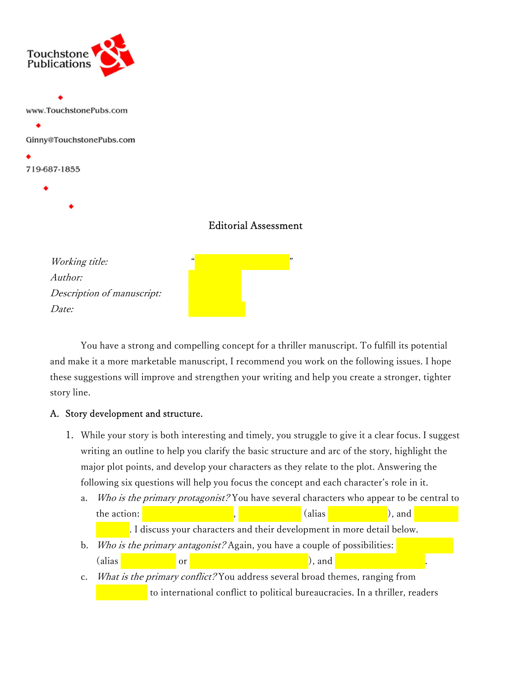

## Editorial Assessment

Working title: Author: Description of manuscript: Date: June 10, 2021 and 2021 and 2021 and 2021 and 2021 and 2021 and 2021 and 2021 and 2021 and 2021 and 2021

 You have a strong and compelling concept for a thriller manuscript. To fulfill its potential and make it a more marketable manuscript, I recommend you work on the following issues. I hope these suggestions will improve and strengthen your writing and help you create a stronger, tighter story line.

### A. Story development and structure.

- 1. While your story is both interesting and timely, you struggle to give it a clear focus. I suggest writing an outline to help you clarify the basic structure and arc of the story, highlight the major plot points, and develop your characters as they relate to the plot. Answering the following six questions will help you focus the concept and each character's role in it.
	- a. Who is the primary protagonist? You have several characters who appear to be central to the action:  $\blacksquare$

. I discuss your characters and their development in more detail below.

- b. Who is the primary antagonist? Again, you have a couple of possibilities:  $\alpha$  alias  $\alpha$  or  $\alpha$  and  $\alpha$  and  $\alpha$  and  $\alpha$ .
- c. What is the primary conflict? You address several broad themes, ranging from to international conflict to political bureaucracies. In a thriller, readers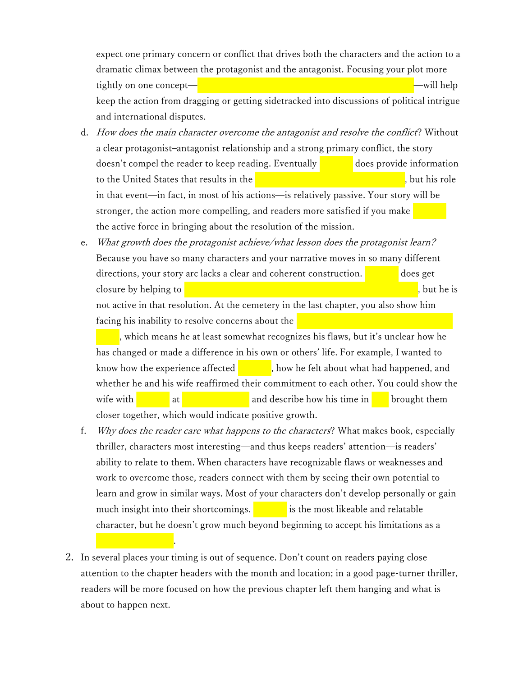expect one primary concern or conflict that drives both the characters and the action to a dramatic climax between the protagonist and the antagonist. Focusing your plot more tightly on one concept—bioterrorism with the threat of world-will help keep the action from dragging or getting sidetracked into discussions of political intrigue and international disputes.

- d. How does the main character overcome the antagonist and resolve the conflict? Without a clear protagonist–antagonist relationship and a strong primary conflict, the story doesn't compel the reader to keep reading. Eventually  $\Box$  does provide information to the United States that results in the destruction of the Iranian laboratory, but his role in that event—in fact, in most of his actions—is relatively passive. Your story will be stronger, the action more compelling, and readers more satisfied if you make the active force in bringing about the resolution of the mission.
- e. What growth does the protagonist achieve/what lesson does the protagonist learn? Because you have so many characters and your narrative moves in so many different  $directions, your story arc lacks a clear and coherent construction.$  does get closure by helping to  $\sim$  come the bioterrorists and defeating  $\sim$   $\sim$   $\sim$   $\sim$   $\sim$ not active in that resolution. At the cemetery in the last chapter, you also show him facing his inability to resolve concerns about the

, which means he at least somewhat recognizes his flaws, but it's unclear how he has changed or made a difference in his own or others' life. For example, I wanted to know how the experience affected  $\blacksquare$ , how he felt about what had happened, and whether he and his wife reaffirmed their commitment to each other. You could show the wife with Spencer at his sister's grave and describe how his time in Iran brought them closer together, which would indicate positive growth.

- f. Why does the reader care what happens to the characters? What makes book, especially thriller, characters most interesting—and thus keeps readers' attention—is readers' ability to relate to them. When characters have recognizable flaws or weaknesses and work to overcome those, readers connect with them by seeing their own potential to learn and grow in similar ways. Most of your characters don't develop personally or gain much insight into their shortcomings.  $\qquad \qquad$  is the most likeable and relatable character, but he doesn't grow much beyond beginning to accept his limitations as a
- 2. In several places your timing is out of sequence. Don't count on readers paying close attention to the chapter headers with the month and location; in a good page-turner thriller, readers will be more focused on how the previous chapter left them hanging and what is about to happen next.

medical researcher.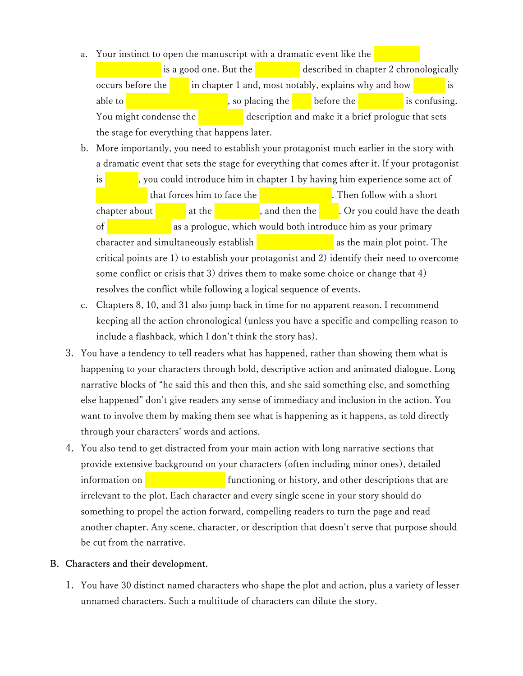a. Your instinct to open the manuscript with a dramatic event like the

is a good one. But the  $\qquad \qquad$  described in chapter 2 chronologically occurs before the  $\begin{array}{c} \hline \end{array}$  in chapter 1 and, most notably, explains why and how able to steal the biological the biological agent before the confusing. You might condense the conference description and make it a brief prologue that sets the stage for everything that happens later.

b. More importantly, you need to establish your protagonist much earlier in the story with a dramatic event that sets the stage for everything that comes after it. If your protagonist

is  $\frac{1}{\sqrt{1-\frac{1}{\sqrt{1-\frac{1}{\sqrt{1-\frac{1}{\sqrt{1-\frac{1}{\sqrt{1-\frac{1}{\sqrt{1-\frac{1}{\sqrt{1-\frac{1}{\sqrt{1-\frac{1}{\sqrt{1-\frac{1}{\sqrt{1-\frac{1}{\sqrt{1-\frac{1}{\sqrt{1-\frac{1}{\sqrt{1-\frac{1}{\sqrt{1-\frac{1}{\sqrt{1-\frac{1}{\sqrt{1-\frac{1}{\sqrt{1-\frac{1}{\sqrt{1-\frac{1}{\sqrt{1-\frac{1}{\sqrt{1-\frac{1}{\sqrt{1-\frac{1}{\sqrt{1-\frac{1}{\sqrt{1-\frac{1}{\sqrt{1-\$ that forces him to face the death of his simulation of his singer. Then follow with a short chapter about Junesin at the conference, and then the theft. Or you could have the death of  $\sim$  Sepencer's as a prologue, which would both introduce him as your primary character and simultaneously establish  $\qquad \qquad$  as the main plot point. The critical points are 1) to establish your protagonist and 2) identify their need to overcome some conflict or crisis that 3) drives them to make some choice or change that 4) resolves the conflict while following a logical sequence of events.

- c. Chapters 8, 10, and 31 also jump back in time for no apparent reason. I recommend keeping all the action chronological (unless you have a specific and compelling reason to include a flashback, which I don't think the story has).
- 3. You have a tendency to tell readers what has happened, rather than showing them what is happening to your characters through bold, descriptive action and animated dialogue. Long narrative blocks of "he said this and then this, and she said something else, and something else happened" don't give readers any sense of immediacy and inclusion in the action. You want to involve them by making them see what is happening as it happens, as told directly through your characters' words and actions.
- 4. You also tend to get distracted from your main action with long narrative sections that provide extensive background on your characters (often including minor ones), detailed information on  $\blacksquare$  functioning or history, and other descriptions that are irrelevant to the plot. Each character and every single scene in your story should do something to propel the action forward, compelling readers to turn the page and read another chapter. Any scene, character, or description that doesn't serve that purpose should be cut from the narrative.

### B. Characters and their development.

1. You have 30 distinct named characters who shape the plot and action, plus a variety of lesser unnamed characters. Such a multitude of characters can dilute the story.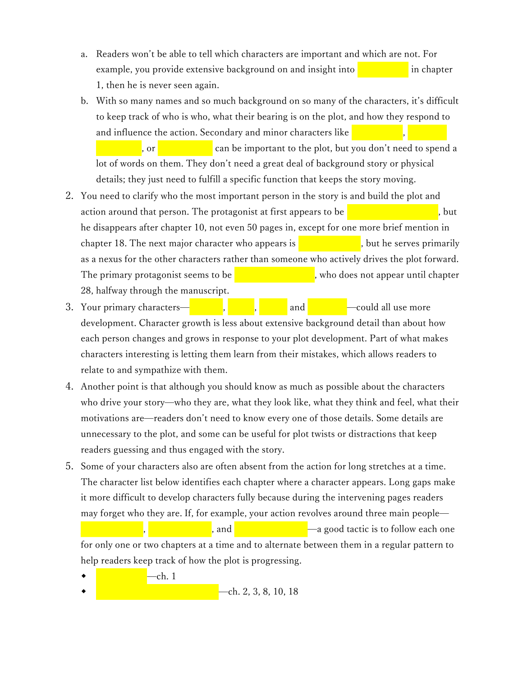- a. Readers won't be able to tell which characters are important and which are not. For example, you provide extensive background on and insight into **Figure 2** in chapter 1, then he is never seen again.
- b. With so many names and so much background on so many of the characters, it's difficult to keep track of who is who, what their bearing is on the plot, and how they respond to and influence the action. Secondary and minor characters like

or **Kim Pyong-in-** Can be important to the plot, but you don't need to spend a lot of words on them. They don't need a great deal of background story or physical details; they just need to fulfill a specific function that keeps the story moving.

- 2. You need to clarify who the most important person in the story is and build the plot and action around that person. The protagonist at first appears to be  $\sim$ he disappears after chapter 10, not even 50 pages in, except for one more brief mention in chapter 18. The next major character who appears is  $\sim$ , but he serves primarily as a nexus for the other characters rather than someone who actively drives the plot forward. The primary protagonist seems to be  $\blacksquare$ , who does not appear until chapter 28, halfway through the manuscript.
- 3. Your primary characters—**Network**, Spencer, Spencer, Spencer, Spencer, Spencer, Alfred, and Osmanov —could all use more development. Character growth is less about extensive background detail than about how each person changes and grows in response to your plot development. Part of what makes characters interesting is letting them learn from their mistakes, which allows readers to relate to and sympathize with them.
- 4. Another point is that although you should know as much as possible about the characters who drive your story—who they are, what they look like, what they think and feel, what their motivations are—readers don't need to know every one of those details. Some details are unnecessary to the plot, and some can be useful for plot twists or distractions that keep readers guessing and thus engaged with the story.
- 5. Some of your characters also are often absent from the action for long stretches at a time. The character list below identifies each chapter where a character appears. Long gaps make it more difficult to develop characters fully because during the intervening pages readers may forget who they are. If, for example, your action revolves around three main people—

, and  $\Box$   $\Box$   $\Box$  a good tactic is to follow each one for only one or two chapters at a time and to alternate between them in a regular pattern to help readers keep track of how the plot is progressing.

- -ch. 1
- ch. 2, 3, 8, 10, 18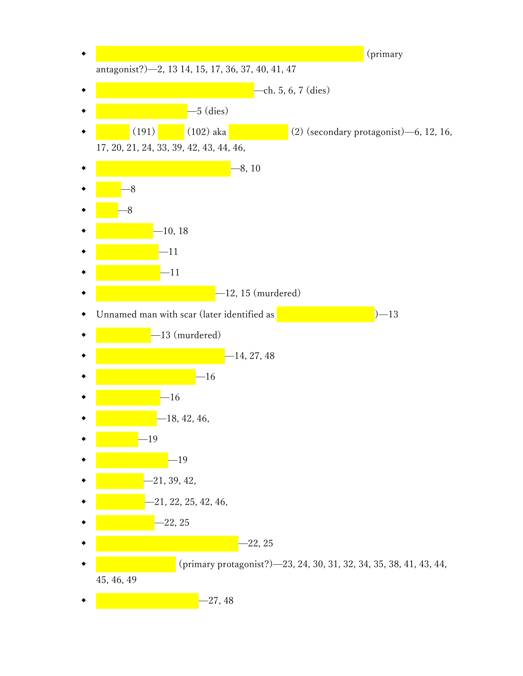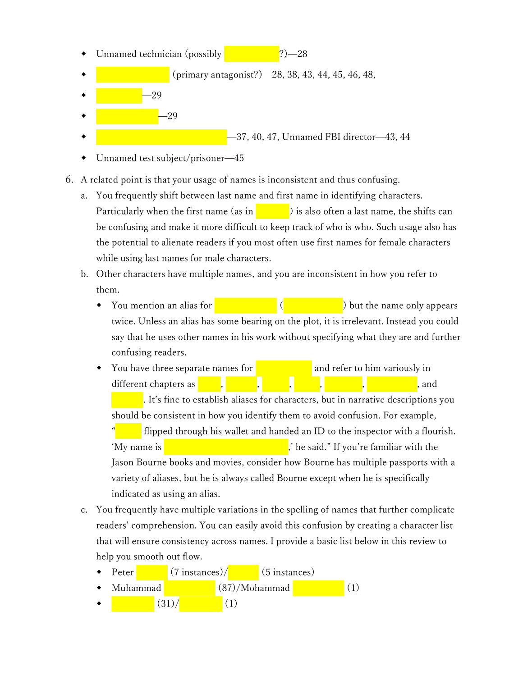- Unnamed technician (possibly  $\sim$  28
- (primary antagonist?)—28, 38, 43, 44, 45, 46, 48,
- 29
- $\bullet$   $-29$ -37, 40, 47, Unnamed FBI director-43, 44
- Unnamed test subject/prisoner—45
- 6. A related point is that your usage of names is inconsistent and thus confusing.
	- a. You frequently shift between last name and first name in identifying characters. Particularly when the first name (as in  $\vert$   $\vert$  ) is also often a last name, the shifts can be confusing and make it more difficult to keep track of who is who. Such usage also has the potential to alienate readers if you most often use first names for female characters while using last names for male characters.
	- b. Other characters have multiple names, and you are inconsistent in how you refer to them.
		- You mention an alias for  $\left($   $\right)$  but the name only appears twice. Unless an alias has some bearing on the plot, it is irrelevant. Instead you could say that he uses other names in his work without specifying what they are and further confusing readers.
		- You have three separate names for  $\blacksquare$  and refer to him variously in different chapters as Fadik, Husaan, Alfrad, Alfrad, Alfrad, Alfrad, Abdullah, Muhammed, Abdullah, Muhammed, A

. It's fine to establish aliases for characters, but in narrative descriptions you should be consistent in how you identify them to avoid confusion. For example,

flipped through his wallet and handed an ID to the inspector with a flourish. 'My name is **Abdullah Muhammed Kamani,**' he said." If you're familiar with the Jason Bourne books and movies, consider how Bourne has multiple passports with a variety of aliases, but he is always called Bourne except when he is specifically indicated as using an alias.

- c. You frequently have multiple variations in the spelling of names that further complicate readers' comprehension. You can easily avoid this confusion by creating a character list that will ensure consistency across names. I provide a basic list below in this review to help you smooth out flow.
	- Peter  $(7 \text{ instances})/$  (5 instances) Muhammad  $\sim$   $(87)/M$ ohammad  $(1)$  $(31)/$  (1)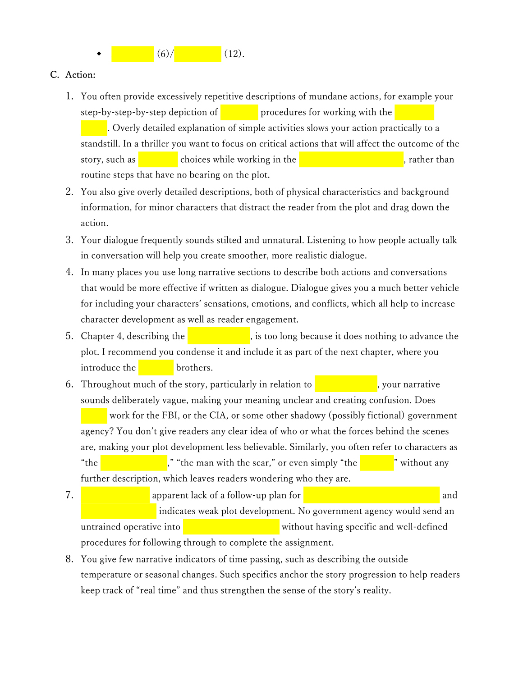

#### C. Action:

- 1. You often provide excessively repetitive descriptions of mundane actions, for example your step-by-step-by-step depiction of  $\sim$  procedures for working with the . Overly detailed explanation of simple activities slows your action practically to a standstill. In a thriller you want to focus on critical actions that will affect the outcome of the story, such as Spencer's choices while working in the Iranian testing laboratory, rather than routine steps that have no bearing on the plot.
- 2. You also give overly detailed descriptions, both of physical characteristics and background information, for minor characters that distract the reader from the plot and drag down the action.
- 3. Your dialogue frequently sounds stilted and unnatural. Listening to how people actually talk in conversation will help you create smoother, more realistic dialogue.
- 4. In many places you use long narrative sections to describe both actions and conversations that would be more effective if written as dialogue. Dialogue gives you a much better vehicle for including your characters' sensations, emotions, and conflicts, which all help to increase character development as well as reader engagement.
- 5. Chapter 4, describing the  $\frac{1}{\sqrt{1-\frac{1}{\sqrt{1-\frac{1}{\sqrt{1-\frac{1}{\sqrt{1-\frac{1}{\sqrt{1-\frac{1}{\sqrt{1-\frac{1}{\sqrt{1-\frac{1}{\sqrt{1-\frac{1}{\sqrt{1-\frac{1}{\sqrt{1-\frac{1}{\sqrt{1-\frac{1}{\sqrt{1-\frac{1}{\sqrt{1-\frac{1}{\sqrt{1-\frac{1}{\sqrt{1-\frac{1}{\sqrt{1-\frac{1}{\sqrt{1-\frac{1}{\sqrt{1-\frac{1}{\sqrt{1-\frac{1}{\sqrt{1-\frac{1}{\sqrt{1-\frac$ plot. I recommend you condense it and include it as part of the next chapter, where you  $introduce the$  brothers.
- 6. Throughout much of the story, particularly in relation to  $\blacksquare$ , your narrative sounds deliberately vague, making your meaning unclear and creating confusion. Does work for the FBI, or the CIA, or some other shadowy (possibly fictional) government agency? You don't give readers any clear idea of who or what the forces behind the scenes are, making your plot development less believable. Similarly, you often refer to characters as "the nuclear scientist," "the man with the scar," or even simply "the scientist" without any further description, which leaves readers wondering who they are.
- 7. **Johnson Smyth's apparent lack of a follow-up plan for infinite the Iranian laboratory and Iranian laboratory and Iranian laboratory and Iranian laboratory and Iranian laboratory and Iranian laboratory and Iranian labor** indicates weak plot development. No government agency would send an untrained operative into  $\frac{1}{\sqrt{2}}$  vithout having specific and well-defined procedures for following through to complete the assignment.
- 8. You give few narrative indicators of time passing, such as describing the outside temperature or seasonal changes. Such specifics anchor the story progression to help readers keep track of "real time" and thus strengthen the sense of the story's reality.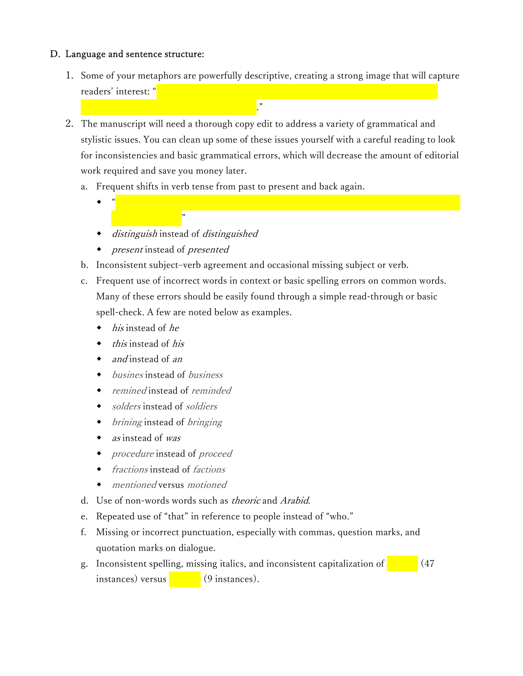## D. Language and sentence structure:

- 1. Some of your metaphors are powerfully descriptive, creating a strong image that will capture readers' interest: "
- 2. The manuscript will need a thorough copy edit to address a variety of grammatical and stylistic issues. You can clean up some of these issues yourself with a careful reading to look for inconsistencies and basic grammatical errors, which will decrease the amount of editorial work required and save you money later.
	- a. Frequent shifts in verb tense from past to present and back again.
		- $\bullet$  ,  $^a$  , and flatter with impressed and flattered by his exchange with Husaan. It is not often the  $^a$
		- distinguish instead of distinguished

indifferent sea sailing toward the unknown."

present instead of presented

to meet some onder the meeting  $\frac{1}{2}$ 

- b. Inconsistent subject–verb agreement and occasional missing subject or verb.
- c. Frequent use of incorrect words in context or basic spelling errors on common words. Many of these errors should be easily found through a simple read-through or basic spell-check. A few are noted below as examples.
	- his instead of he
	- this instead of his
	- and instead of an
	- busines instead of business
	- remined instead of reminded
	- solders instead of soldiers
	- brining instead of bringing
	- as instead of was
	- procedure instead of proceed
	- fractions instead of factions
	- mentioned versus motioned
- d. Use of non-words words such as theoric and Arabid.
- e. Repeated use of "that" in reference to people instead of "who."
- f. Missing or incorrect punctuation, especially with commas, question marks, and quotation marks on dialogue.
- g. Inconsistent spelling, missing italics, and inconsistent capitalization of  $\sim$  (47) instances) versus  $(9 \text{ instances}).$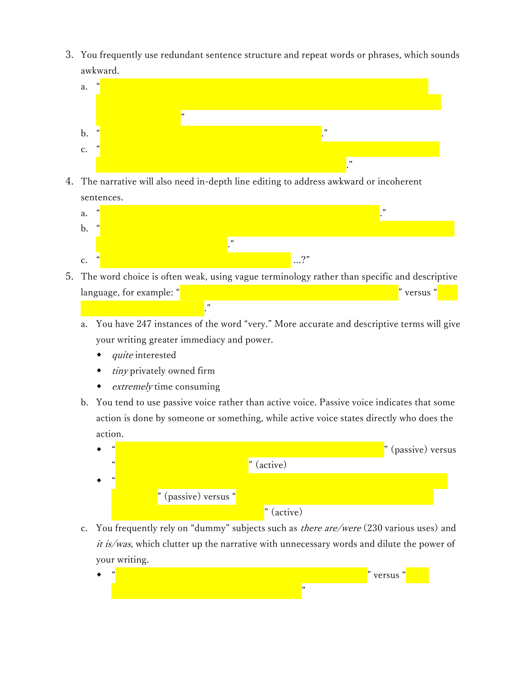3. You frequently use redundant sentence structure and repeat words or phrases, which sounds awkward.



4. The narrative will also need in-depth line editing to address awkward or incoherent sentences.



- 5. The word choice is often weak, using vague terminology rather than specific and descriptive language, for example: "Some kind of device for seeing if he had any weapons if he had any weapons if  $\alpha$  versus
	- a. You have 247 instances of the word "very." More accurate and descriptive terms will give your writing greater immediacy and power.
		- $\bullet$  quite interested

ray scanner to detect weapons."

- $\bullet$  *tiny* privately owned firm
- $\bullet$  *extremely* time consuming
- b. You tend to use passive voice rather than active voice. Passive voice indicates that some action is done by someone or something, while active voice states directly who does the action.

|                      |              | " (passive) versus |
|----------------------|--------------|--------------------|
| $\epsilon$           | $"$ (active) |                    |
|                      |              |                    |
| " (passive) versus " |              |                    |
|                      | $"$ (active) |                    |

c. You frequently rely on "dummy" subjects such as *there are/were*  $(230 \text{ various uses})$  and *it is/was*, which clutter up the narrative with unnecessary words and dilute the power of your writing.

|  | IIQ |
|--|-----|
|  |     |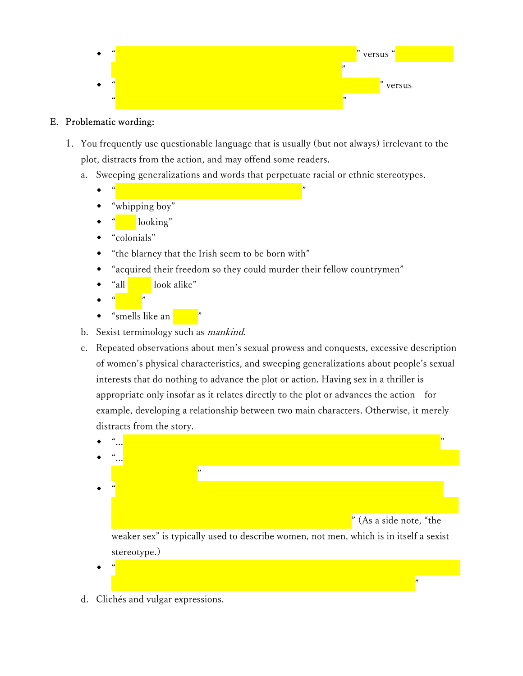

# E. Problematic wording:

- 1. You frequently use questionable language that is usually (but not always) irrelevant to the plot, distracts from the action, and may offend some readers.
	- a. Sweeping generalizations and words that perpetuate racial or ethnic stereotypes.
		- $\begin{array}{cc} \bullet & \text{``} & \text{''} & \text{''} & \text{''} \end{array}$
		- "whipping boy"
		- looking"
		- "colonials"
		- "the blarney that the Irish seem to be born with"
		- "acquired their freedom so they could murder their fellow countrymen"
		- "all look alike"
		- $\leftarrow$  " $\leftarrow$ "
		- "smells like an
	- b. Sexist terminology such as *mankind*.
	- c. Repeated observations about men's sexual prowess and conquests, excessive description of women's physical characteristics, and sweeping generalizations about people's sexual interests that do nothing to advance the plot or action. Having sex in a thriller is appropriate only insofar as it relates directly to the plot or advances the action—for example, developing a relationship between two main characters. Otherwise, it merely distracts from the story.



 $\leftrightarrow$  "He environ's youth and good looks and good looks and good looks and recognized the chemistry that had to

be creating all kinds of delightful sexual fancies between  $\frac{n}{\sqrt{2}}$ 

d. Clichés and vulgar expressions.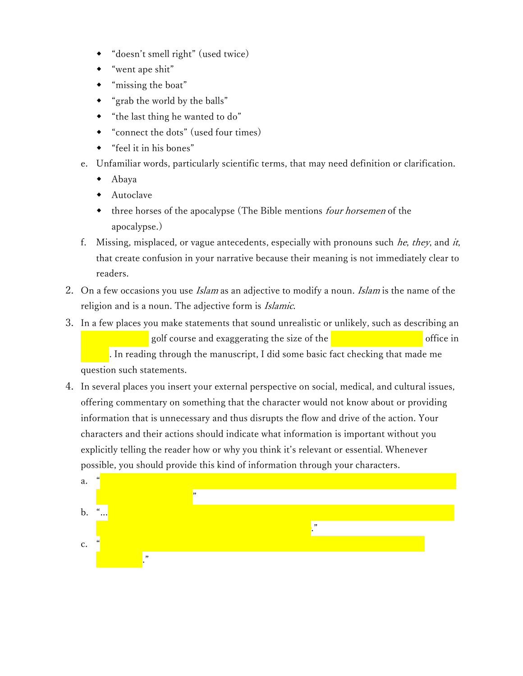- "doesn't smell right" (used twice)
- "went ape shit"
- "missing the boat"
- "grab the world by the balls"
- "the last thing he wanted to do"
- "connect the dots" (used four times)
- "feel it in his bones"
- e. Unfamiliar words, particularly scientific terms, that may need definition or clarification.
	- Abaya
	- Autoclave
	- three horses of the apocalypse (The Bible mentions four horsemen of the apocalypse.)
- f. Missing, misplaced, or vague antecedents, especially with pronouns such  $he$ , they, and it, that create confusion in your narrative because their meaning is not immediately clear to readers.
- 2. On a few occasions you use *Islam* as an adjective to modify a noun. *Islam* is the name of the religion and is a noun. The adjective form is Islamic.
- 3. In a few places you make statements that sound unrealistic or unlikely, such as describing an golf course and exaggerating the size of the US Consulation of the US Consulation of the US Consulation of the

. In reading through the manuscript, I did some basic fact checking that made me question such statements.

4. In several places you insert your external perspective on social, medical, and cultural issues, offering commentary on something that the character would not know about or providing information that is unnecessary and thus disrupts the flow and drive of the action. Your characters and their actions should indicate what information is important without you explicitly telling the reader how or why you think it's relevant or essential. Whenever possible, you should provide this kind of information through your characters.